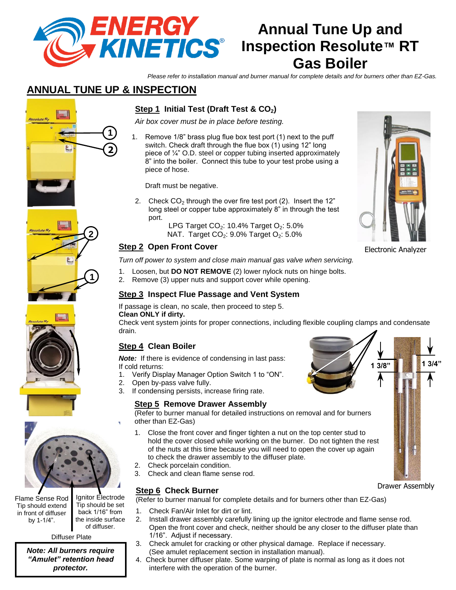

# **Annual Tune Up and Inspection Resolute™ RT Gas Boiler**

*Please refer to installation manual and burner manual for complete details and for burners other than EZ-Gas.*

# **ANNUAL TUNE UP & INSPECTION**

**2**

**2**

**1**

# **Step 1 Initial Test (Draft Test & CO2)**

*Air box cover must be in place before testing.*

1. Remove 1/8" brass plug flue box test port (1) next to the puff switch. Check draft through the flue box (1) using 12" long piece of ¼" O.D. steel or copper tubing inserted approximately 8" into the boiler. Connect this tube to your test probe using a piece of hose.

Draft must be negative.

- 2. Check  $CO<sub>2</sub>$  through the over fire test port (2). Insert the 12" long steel or copper tube approximately 8" in through the test port.
	- LPG Target  $CO<sub>2</sub>$ : 10.4% Target  $O<sub>2</sub>$ : 5.0% NAT. Target  $CO<sub>2</sub>$ : 9.0% Target  $O<sub>2</sub>$ : 5.0%

#### **Step 2 Open Front Cover**

*Turn off power to system and close main manual gas valve when servicing.*

- 1. Loosen, but **DO NOT REMOVE** (2) lower nylock nuts on hinge bolts.
- 2. Remove (3) upper nuts and support cover while opening.

#### **Step 3 Inspect Flue Passage and Vent System**

If passage is clean, no scale, then proceed to step 5.

#### **Clean ONLY if dirty.**

Check vent system joints for proper connections, including flexible coupling clamps and condensate drain.

# **Step 4 Clean Boiler**

*Note:* If there is evidence of condensing in last pass: If cold returns:

- 1. Verify Display Manager Option Switch 1 to "ON".
- 2. Open by-pass valve fully.
- 3. If condensing persists, increase firing rate.

#### **Step 5 Remove Drawer Assembly**

(Refer to burner manual for detailed instructions on removal and for burners other than EZ-Gas)

- 1. Close the front cover and finger tighten a nut on the top center stud to hold the cover closed while working on the burner. Do not tighten the rest of the nuts at this time because you will need to open the cover up again to check the drawer assembly to the diffuser plate.
- 2. Check porcelain condition.
- 3. Check and clean flame sense rod.

#### **Step 6 Check Burner**

(Refer to burner manual for complete details and for burners other than EZ-Gas)

- 1. Check Fan/Air Inlet for dirt or lint.
- 2. Install drawer assembly carefully lining up the ignitor electrode and flame sense rod. Open the front cover and check, neither should be any closer to the diffuser plate than 1/16". Adjust if necessary.
- 3. Check amulet for cracking or other physical damage. Replace if necessary. (See amulet replacement section in installation manual).
- 4. Check burner diffuser plate. Some warping of plate is normal as long as it does not interfere with the operation of the burner.







Drawer Assembly







Flame Sense Rod Tip should extend in front of diffuser by 1-1/4".

Tip should be set back 1/16" from the inside surface of diffuser.

Ignitor Electrode

Diffuser Plate

*Note: All burners require "Amulet" retention head protector.*